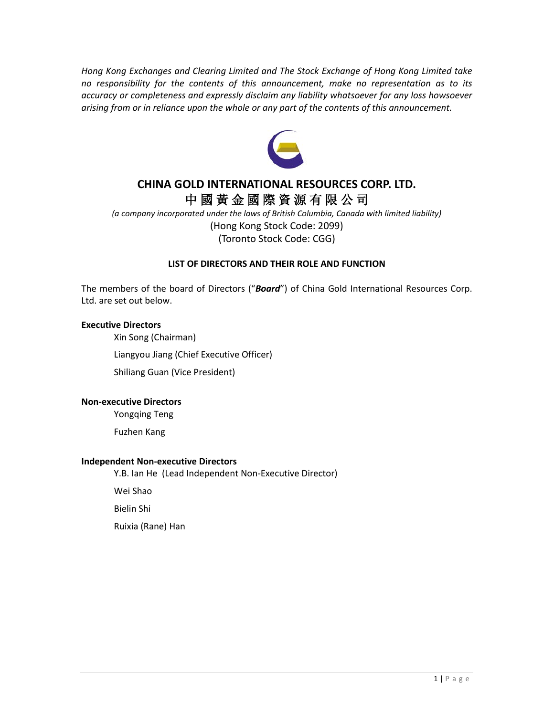*Hong Kong Exchanges and Clearing Limited and The Stock Exchange of Hong Kong Limited take no responsibility for the contents of this announcement, make no representation as to its accuracy or completeness and expressly disclaim any liability whatsoever for any loss howsoever arising from or in reliance upon the whole or any part of the contents of this announcement.*



# **CHINA GOLD INTERNATIONAL RESOURCES CORP. LTD.** 中 國 黃 金 國 際 資 源 有 限 公 司

*(a company incorporated under the laws of British Columbia, Canada with limited liability)* (Hong Kong Stock Code: 2099) (Toronto Stock Code: CGG)

## **LIST OF DIRECTORS AND THEIR ROLE AND FUNCTION**

The members of the board of Directors ("*Board*") of China Gold International Resources Corp. Ltd. are set out below.

#### **Executive Directors**

Xin Song (Chairman)

Liangyou Jiang (Chief Executive Officer)

Shiliang Guan (Vice President)

### **Non-executive Directors**

Yongqing Teng

Fuzhen Kang

#### **Independent Non-executive Directors**

Y.B. Ian He (Lead Independent Non-Executive Director)

Wei Shao

Bielin Shi

Ruixia (Rane) Han